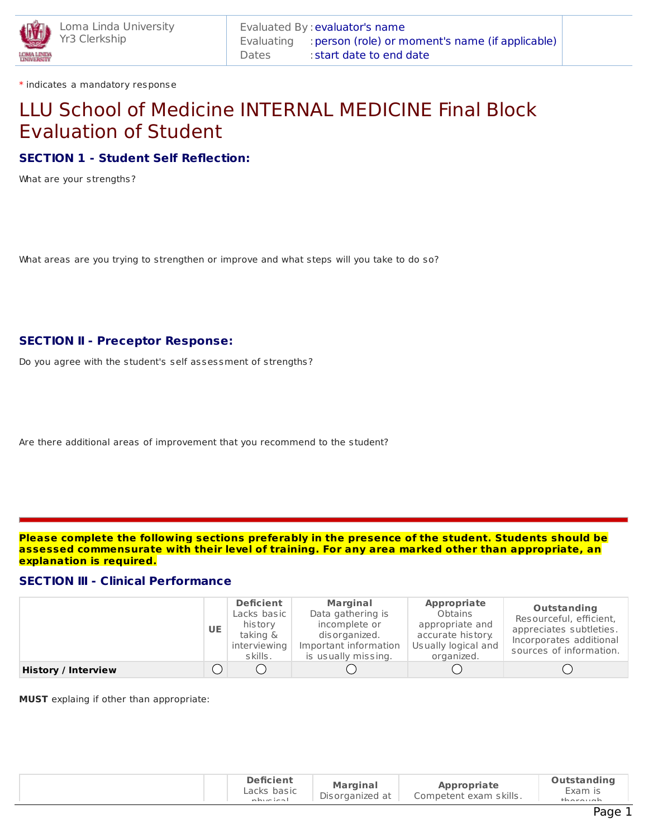

\* indicates a mandatory response

# LLU School of Medicine INTERNAL MEDICINE Final Block Evaluation of Student

# **SECTION 1 - Student Self Reflection:**

What are your strengths?

What areas are you trying to strengthen or improve and what steps will you take to do so?

# **SECTION II - Preceptor Response:**

Do you agree with the student's self assessment of strengths?

Are there additional areas of improvement that you recommend to the student?

**Please complete the following sections preferably in the presence of the student. Students should be assessed commensurate with their level of training. For any area marked other than appropriate, an explanation is required.**

## **SECTION III - Clinical Performance**

|                            | <b>UE</b> | <b>Deficient</b><br>Lacks basic<br>history<br>taking &<br>interviewing<br>s kills. | <b>Marginal</b><br>Data gathering is<br>incomplete or<br>dis organized.<br>Important information<br>is usually missing. | Appropriate<br>Obtains<br>appropriate and<br>accurate history.<br>Usually logical and<br>organized. | Outstanding<br>Resourceful, efficient,<br>appreciates subtleties.<br>Incorporates additional<br>sources of information. |
|----------------------------|-----------|------------------------------------------------------------------------------------|-------------------------------------------------------------------------------------------------------------------------|-----------------------------------------------------------------------------------------------------|-------------------------------------------------------------------------------------------------------------------------|
| <b>History / Interview</b> |           |                                                                                    |                                                                                                                         |                                                                                                     |                                                                                                                         |

**MUST** explaing if other than appropriate:

|  | <b>Deficient</b><br>Lacks basic<br>phypical | <b>Marginal</b><br>Disorganized at | <b>Appropriate</b><br>Competent exam skills. | <b>Outstanding</b><br>Exam is<br>$th$ arauah |
|--|---------------------------------------------|------------------------------------|----------------------------------------------|----------------------------------------------|
|--|---------------------------------------------|------------------------------------|----------------------------------------------|----------------------------------------------|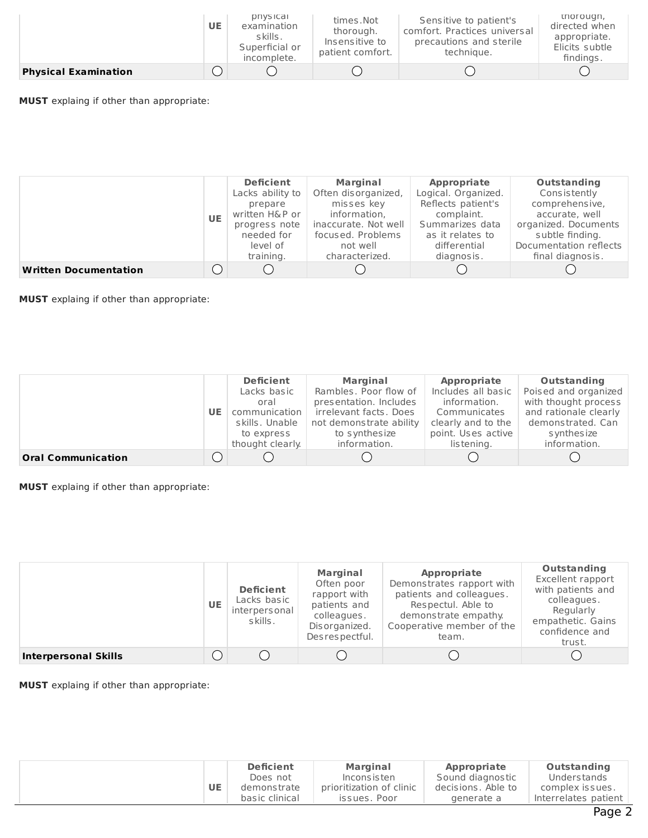|                             | <b>UE</b> | priysical<br>examination<br>skills.<br>Superficial or<br>incomplete. | times.Not<br>thorough.<br>Insensitive to<br>patient comfort. | Sensitive to patient's<br>comfort. Practices universal<br>precautions and sterile<br>technique. | thorough,<br>directed when<br>appropriate.<br>Elicits subtle<br>findings. |
|-----------------------------|-----------|----------------------------------------------------------------------|--------------------------------------------------------------|-------------------------------------------------------------------------------------------------|---------------------------------------------------------------------------|
| <b>Physical Examination</b> |           |                                                                      |                                                              |                                                                                                 |                                                                           |

**MUST** explaing if other than appropriate:

|                              |               | <b>Deficient</b>     | <b>Marginal</b>     | Appropriate          | Outstanding            |
|------------------------------|---------------|----------------------|---------------------|----------------------|------------------------|
|                              |               | Lacks ability to     | Often disorganized, | Logical. Organized.  | Consistently           |
|                              |               | prepare              | misses key          | Reflects patient's   | comprehensive,         |
|                              | <b>UE</b>     | written H&P or       | information,        | complaint.           | accurate, well         |
|                              | progress note | inaccurate. Not well | Summarizes data     | organized. Documents |                        |
|                              |               | needed for           | focused. Problems   | as it relates to     | subtle finding.        |
|                              |               | level of             | not well            | differential         | Documentation reflects |
|                              |               | training.            | characterized.      | diagnosis.           | final diagnosis.       |
| <b>Written Documentation</b> |               |                      |                     |                      |                        |

**MUST** explaing if other than appropriate:

|                           |  | <b>Deficient</b> | <b>Marginal</b>         | Appropriate        | Outstanding           |
|---------------------------|--|------------------|-------------------------|--------------------|-----------------------|
|                           |  | Lacks basic      | Rambles, Poor flow of   | Includes all basic | Poised and organized  |
|                           |  | oral             | presentation. Includes  | information.       | with thought process  |
| UE.                       |  | communication    | irrelevant facts, Does  | Communicates       | and rationale clearly |
|                           |  | skills, Unable   | not demonstrate ability | clearly and to the | demonstrated, Can     |
|                           |  | to express       | to synthesize           | point. Uses active | s ynthes ize          |
|                           |  | thought clearly. | information.            | listening.         | information.          |
| <b>Oral Communication</b> |  |                  |                         |                    |                       |

**MUST** explaing if other than appropriate:

|                             | <b>UE</b> | <b>Deficient</b><br>Lacks basic<br>interpersonal<br>s kills. | <b>Marginal</b><br>Often poor<br>rapport with<br>patients and<br>colleagues.<br>Disorganized.<br>Des respectful. | Appropriate<br>Demonstrates rapport with<br>patients and colleagues.<br>Respectul. Able to<br>demonstrate empathy.<br>Cooperative member of the<br>team. | Outstanding<br>Excellent rapport<br>with patients and<br>colleagues.<br>Regularly<br>empathetic. Gains<br>confidence and<br>trust. |
|-----------------------------|-----------|--------------------------------------------------------------|------------------------------------------------------------------------------------------------------------------|----------------------------------------------------------------------------------------------------------------------------------------------------------|------------------------------------------------------------------------------------------------------------------------------------|
| <b>Interpersonal Skills</b> |           |                                                              |                                                                                                                  |                                                                                                                                                          |                                                                                                                                    |

**MUST** explaing if other than appropriate:

| UE | <b>Deficient</b> | <b>Marginal</b>          | <b>Appropriate</b> | <b>Outstanding</b>   |
|----|------------------|--------------------------|--------------------|----------------------|
|    | Does not         | Incons is ten            | Sound diagnostic   | Understands          |
|    | demonstrate      | prioritization of clinic | decisions. Able to | complex issues.      |
|    | basic clinical   | issues. Poor             | generate a         | Interrelates patient |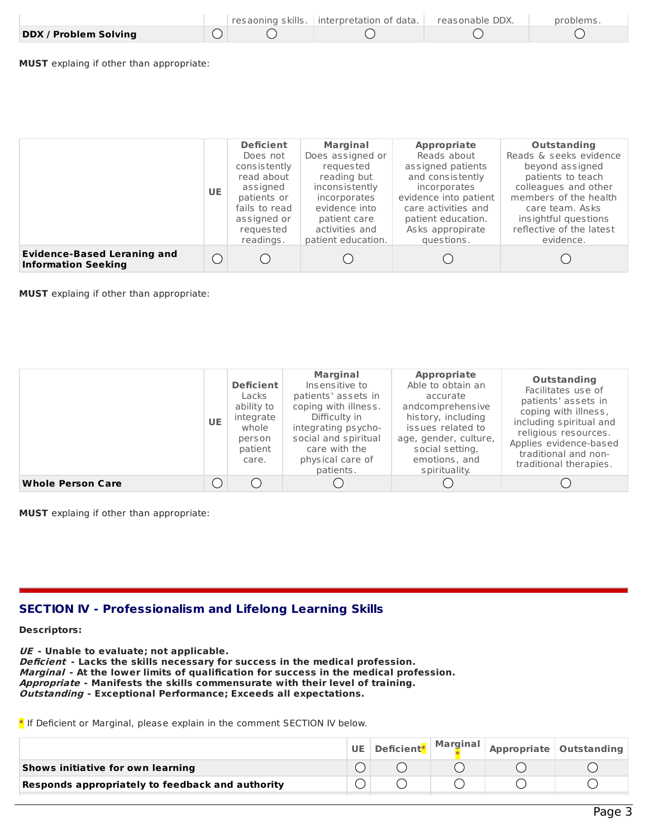|                              |  | resaoning skills.   interpretation of data. | casonable DDX. | problems. |
|------------------------------|--|---------------------------------------------|----------------|-----------|
| <b>DDX / Problem Solving</b> |  |                                             |                |           |

**MUST** explaing if other than appropriate:

|                                                                  | <b>UE</b>  | <b>Deficient</b><br>Does not<br>consistently<br>read about<br>assigned<br>patients or<br>fails to read<br>assigned or<br>requested<br>readings. | <b>Marginal</b><br>Does assigned or<br>requested<br>reading but<br>inconsistently<br>incorporates<br>evidence into<br>patient care<br>activities and<br>patient education. | Appropriate<br>Reads about<br>assigned patients<br>and consistently<br>incorporates<br>evidence into patient<br>care activities and<br>patient education.<br>Asks appropirate<br>questions. | Outstanding<br>Reads & seeks evidence<br>beyond assigned<br>patients to teach<br>colleagues and other<br>members of the health<br>care team. Asks<br>insightful questions<br>reflective of the latest<br>evidence. |
|------------------------------------------------------------------|------------|-------------------------------------------------------------------------------------------------------------------------------------------------|----------------------------------------------------------------------------------------------------------------------------------------------------------------------------|---------------------------------------------------------------------------------------------------------------------------------------------------------------------------------------------|--------------------------------------------------------------------------------------------------------------------------------------------------------------------------------------------------------------------|
| <b>Evidence-Based Leraning and</b><br><b>Information Seeking</b> | $\bigcirc$ |                                                                                                                                                 |                                                                                                                                                                            |                                                                                                                                                                                             |                                                                                                                                                                                                                    |

**MUST** explaing if other than appropriate:

|                          | <b>UE</b> | <b>Deficient</b><br>Lacks<br>ability to<br>integrate<br>whole<br>person<br>patient<br>care. | <b>Marginal</b><br>Insensitive to<br>patients' assets in<br>coping with illness.<br>Difficulty in<br>integrating psycho-<br>social and spiritual<br>care with the<br>physical care of<br>patients. | Appropriate<br>Able to obtain an<br>accurate<br>andcomprehensive<br>history, including<br>issues related to<br>age, gender, culture,<br>social setting,<br>emotions, and<br>s pirituality. | Outstanding<br>Facilitates use of<br>patients' assets in<br>coping with illness,<br>including spiritual and<br>religious resources.<br>Applies evidence-based<br>traditional and non-<br>traditional therapies. |
|--------------------------|-----------|---------------------------------------------------------------------------------------------|----------------------------------------------------------------------------------------------------------------------------------------------------------------------------------------------------|--------------------------------------------------------------------------------------------------------------------------------------------------------------------------------------------|-----------------------------------------------------------------------------------------------------------------------------------------------------------------------------------------------------------------|
| <b>Whole Person Care</b> |           |                                                                                             |                                                                                                                                                                                                    |                                                                                                                                                                                            |                                                                                                                                                                                                                 |

**MUST** explaing if other than appropriate:

## **SECTION IV - Professionalism and Lifelong Learning Skills**

**Descriptors:**

**UE - Unable to evaluate; not applicable. Deficient - Lacks the skills necessary for success in the medical profession. Marginal - At the lower limits of qualification for success in the medical profession. Appropriate - Manifests the skills commensurate with their level of training. Outstanding - Exceptional Performance; Exceeds all expectations.**

\* If Deficient or Marginal, please explain in the comment SECTION IV below.

|                                                  |  |  | UE   Deficient*   Marginal   Appropriate   Outstanding |
|--------------------------------------------------|--|--|--------------------------------------------------------|
| Shows initiative for own learning                |  |  |                                                        |
| Responds appropriately to feedback and authority |  |  |                                                        |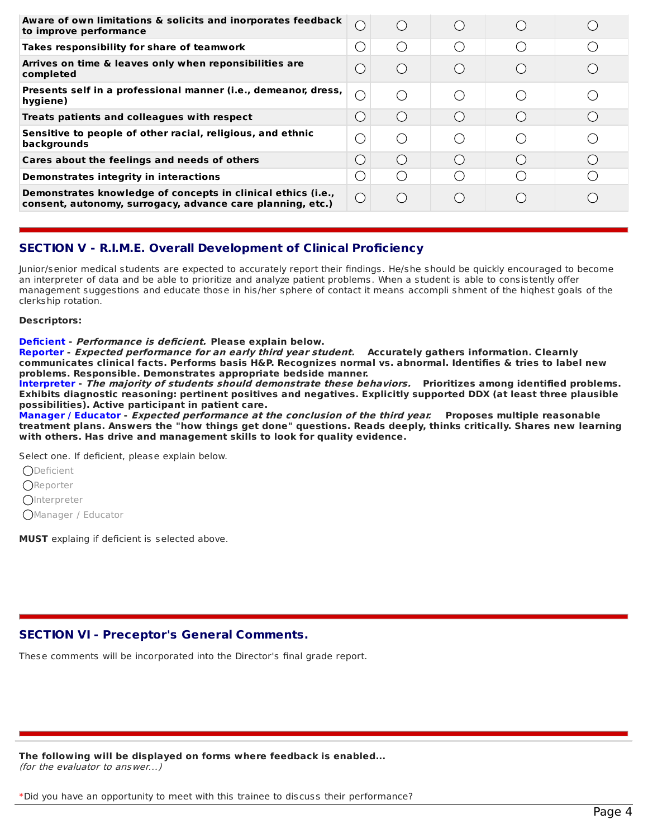| Aware of own limitations & solicits and inorporates feedback<br>to improve performance                                     |  |  |  |
|----------------------------------------------------------------------------------------------------------------------------|--|--|--|
| Takes responsibility for share of teamwork                                                                                 |  |  |  |
| Arrives on time & leaves only when reponsibilities are<br>completed                                                        |  |  |  |
| Presents self in a professional manner (i.e., demeanor, dress,<br>hygiene)                                                 |  |  |  |
| Treats patients and colleagues with respect                                                                                |  |  |  |
| Sensitive to people of other racial, religious, and ethnic<br>backgrounds                                                  |  |  |  |
| Cares about the feelings and needs of others                                                                               |  |  |  |
| Demonstrates integrity in interactions                                                                                     |  |  |  |
| Demonstrates knowledge of concepts in clinical ethics (i.e.,<br>consent, autonomy, surrogacy, advance care planning, etc.) |  |  |  |

# **SECTION V - R.I.M.E. Overall Development of Clinical Proficiency**

Junior/senior medical students are expected to accurately report their findings. He/she should be quickly encouraged to become an interpreter of data and be able to prioritize and analyze patient problems. When a student is able to consistently offer management suggestions and educate those in his/her sphere of contact it means accompli shment of the highest goals of the cIerkship rotation.

#### **Descriptors:**

#### **Deficient - Performance is deficient. Please explain below.**

**Reporter - Expected performance for an early third year student. Accurately gathers information. Clearnly communicates clinical facts. Performs basis H&P. Recognizes normal vs. abnormal. Identifies & tries to label new problems. Responsible. Demonstrates appropriate bedside manner.**

**Interpreter - The majority of students should demonstrate these behaviors. Prioritizes among identified problems. Exhibits diagnostic reasoning: pertinent positives and negatives. Explicitly supported DDX (at least three plausible possibilities). Active participant in patient care.**

**Manager / Educator - Expected performance at the conclusion of the third year. Proposes multiple reasonable** treatment plans. Answers the "how things get done" questions. Reads deeply, thinks critically. Shares new learning **with others. Has drive and management skills to look for quality evidence.**

Select one. If deficient, please explain below.

**ODeficient** 

**OReporter** 

*O*Interpreter

Manager / Educator

**MUST** explaing if deficient is selected above.

# **SECTION VI - Preceptor's General Comments.**

These comments will be incorporated into the Director's final grade report.

**The following will be displayed on forms where feedback is enabled...** (for the evaluator to answer...)

\*Did you have an opportunity to meet with this trainee to discuss their performance?